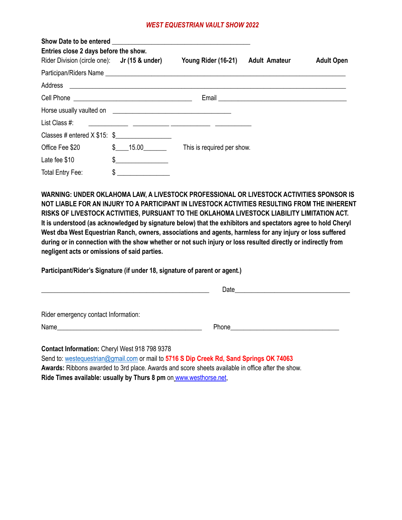## *WEST EQUESTRIAN VAULT SHOW 2022*

| Entries close 2 days before the show.        |               |                                                                                                                       |                      |                   |  |
|----------------------------------------------|---------------|-----------------------------------------------------------------------------------------------------------------------|----------------------|-------------------|--|
| Rider Division (circle one): Jr (15 & under) |               | Young Rider (16-21)                                                                                                   | <b>Adult Amateur</b> | <b>Adult Open</b> |  |
|                                              |               |                                                                                                                       |                      |                   |  |
|                                              |               |                                                                                                                       |                      |                   |  |
|                                              |               |                                                                                                                       |                      |                   |  |
|                                              |               |                                                                                                                       |                      |                   |  |
| List Class #:                                |               | <u> 1989 - John Harry Harry Harry Harry Harry Harry Harry Harry Harry Harry Harry Harry Harry Harry Harry Harry H</u> |                      |                   |  |
| Classes # entered $X$ \$15: \$               |               |                                                                                                                       |                      |                   |  |
| Office Fee \$20                              | $$$ 15.00     | This is required per show.                                                                                            |                      |                   |  |
| Late fee \$10                                | $\frac{1}{2}$ |                                                                                                                       |                      |                   |  |
| Total Entry Fee:                             | $\frac{1}{2}$ |                                                                                                                       |                      |                   |  |

**WARNING: UNDER OKLAHOMA LAW, A LIVESTOCK PROFESSIONAL OR LIVESTOCK ACTIVITIES SPONSOR IS NOT LIABLE FOR AN INJURY TO A PARTICIPANT IN LIVESTOCK ACTIVITIES RESULTING FROM THE INHERENT RISKS OF LIVESTOCK ACTIVITIES, PURSUANT TO THE OKLAHOMA LIVESTOCK LIABILITY LIMITATION ACT.** It is understood (as acknowledged by signature below) that the exhibitors and spectators agree to hold Cheryl **West dba West Equestrian Ranch, owners, associations and agents, harmless for any injury or loss suffered** during or in connection with the show whether or not such injury or loss resulted directly or indirectly from **negligent acts or omissions of said parties.**

**Participant/Rider's Signature (if under 18, signature of parent or agent.)**

| Rider emergency contact Information:          |  |
|-----------------------------------------------|--|
|                                               |  |
| Contact Information: Charyl Wast 018 708 0378 |  |

**Contact Information:** Cheryl West 918 798 9378 Send to: [westequestrian@gmail.com](mailto:westequestrian@gmail.com) or mail to **5716 S Dip Creek Rd, Sand Springs OK 74063 Awards:** Ribbons awarded to 3rd place. Awards and score sheets available in office after the show. **Ride Times available: usually by Thurs 8 pm** on [www.westhorse.net,](http://www.westhorse.net/)